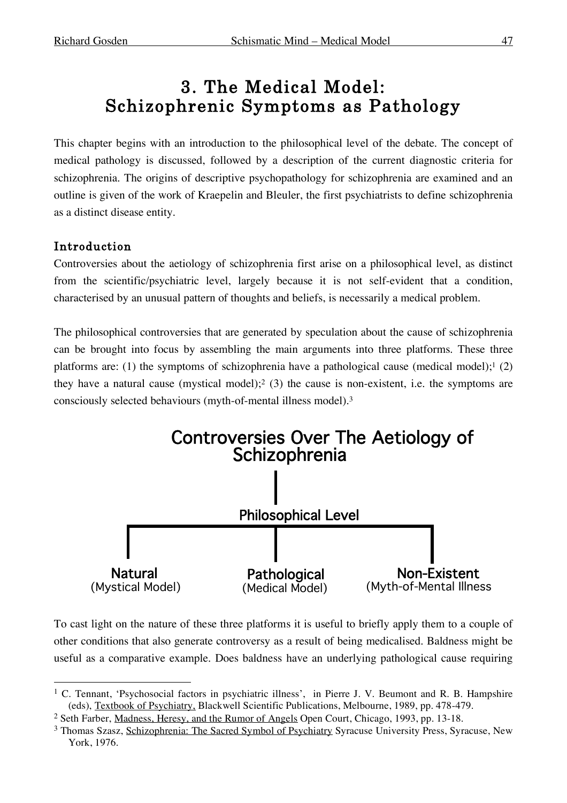# 3. The Medical Model: Schizophrenic Symptoms as Pathology

This chapter begins with an introduction to the philosophical level of the debate. The concept of medical pathology is discussed, followed by a description of the current diagnostic criteria for schizophrenia. The origins of descriptive psychopathology for schizophrenia are examined and an outline is given of the work of Kraepelin and Bleuler, the first psychiatrists to define schizophrenia as a distinct disease entity.

# Introduction

Controversies about the aetiology of schizophrenia first arise on a philosophical level, as distinct from the scientific/psychiatric level, largely because it is not self-evident that a condition, characterised by an unusual pattern of thoughts and beliefs, is necessarily a medical problem.

The philosophical controversies that are generated by speculation about the cause of schizophrenia can be brought into focus by assembling the main arguments into three platforms. These three platforms are: (1) the symptoms of schizophrenia have a pathological cause (medical model);<sup>1</sup> (2) they have a natural cause (mystical model);<sup>2</sup> (3) the cause is non-existent, i.e. the symptoms are consciously selected behaviours (myth-of-mental illness model). 3



To cast light on the nature of these three platforms it is useful to briefly apply them to a couple of other conditions that also generate controversy as a result of being medicalised. Baldness might be useful as a comparative example. Does baldness have an underlying pathological cause requiring

<sup>&</sup>lt;sup>1</sup> C. Tennant, 'Psychosocial factors in psychiatric illness', in Pierre J. V. Beumont and R. B. Hampshire (eds), Textbook of Psychiatry, Blackwell Scientific Publications, Melbourne, 1989, pp. 478-479.

<sup>2</sup> Seth Farber, Madness, Heresy, and the Rumor of Angels Open Court, Chicago, 1993, pp. 13-18.

<sup>&</sup>lt;sup>3</sup> Thomas Szasz, Schizophrenia: The Sacred Symbol of Psychiatry Syracuse University Press, Syracuse, New York, 1976.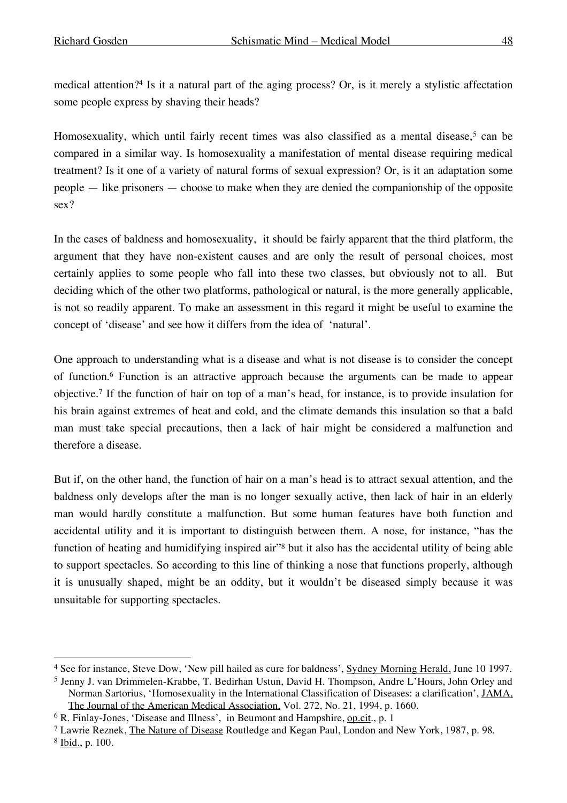medical attention?4 Is it a natural part of the aging process? Or, is it merely a stylistic affectation some people express by shaving their heads?

Homosexuality, which until fairly recent times was also classified as a mental disease,<sup>5</sup> can be compared in a similar way. Is homosexuality a manifestation of mental disease requiring medical treatment? Is it one of a variety of natural forms of sexual expression? Or, is it an adaptation some people — like prisoners — choose to make when they are denied the companionship of the opposite sex?

In the cases of baldness and homosexuality, it should be fairly apparent that the third platform, the argument that they have non-existent causes and are only the result of personal choices, most certainly applies to some people who fall into these two classes, but obviously not to all. But deciding which of the other two platforms, pathological or natural, is the more generally applicable, is not so readily apparent. To make an assessment in this regard it might be useful to examine the concept of 'disease' and see how it differs from the idea of 'natural'.

One approach to understanding what is a disease and what is not disease is to consider the concept of function. <sup>6</sup> Function is an attractive approach because the arguments can be made to appear objective.7 If the function of hair on top of a man's head, for instance, is to provide insulation for his brain against extremes of heat and cold, and the climate demands this insulation so that a bald man must take special precautions, then a lack of hair might be considered a malfunction and therefore a disease.

But if, on the other hand, the function of hair on a man's head is to attract sexual attention, and the baldness only develops after the man is no longer sexually active, then lack of hair in an elderly man would hardly constitute a malfunction. But some human features have both function and accidental utility and it is important to distinguish between them. A nose, for instance, "has the function of heating and humidifying inspired air"8 but it also has the accidental utility of being able to support spectacles. So according to this line of thinking a nose that functions properly, although it is unusually shaped, might be an oddity, but it wouldn't be diseased simply because it was unsuitable for supporting spectacles.

 <sup>4</sup> See for instance, Steve Dow, 'New pill hailed as cure for baldness', Sydney Morning Herald, June 10 1997.

<sup>5</sup> Jenny J. van Drimmelen-Krabbe, T. Bedirhan Ustun, David H. Thompson, Andre L'Hours, John Orley and Norman Sartorius, 'Homosexuality in the International Classification of Diseases: a clarification', JAMA, The Journal of the American Medical Association, Vol. 272, No. 21, 1994, p. 1660.

<sup>&</sup>lt;sup>6</sup> R. Finlay-Jones, 'Disease and Illness', in Beumont and Hampshire, op.cit., p. 1

<sup>7</sup> Lawrie Reznek, The Nature of Disease Routledge and Kegan Paul, London and New York, 1987, p. 98. <sup>8</sup> Ibid., p. 100.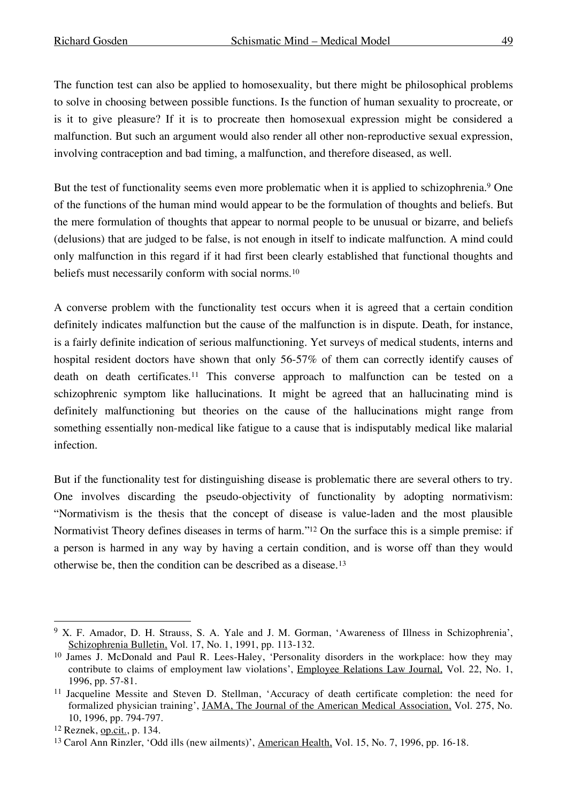The function test can also be applied to homosexuality, but there might be philosophical problems to solve in choosing between possible functions. Is the function of human sexuality to procreate, or is it to give pleasure? If it is to procreate then homosexual expression might be considered a malfunction. But such an argument would also render all other non-reproductive sexual expression, involving contraception and bad timing, a malfunction, and therefore diseased, as well.

But the test of functionality seems even more problematic when it is applied to schizophrenia. <sup>9</sup> One of the functions of the human mind would appear to be the formulation of thoughts and beliefs. But the mere formulation of thoughts that appear to normal people to be unusual or bizarre, and beliefs (delusions) that are judged to be false, is not enough in itself to indicate malfunction. A mind could only malfunction in this regard if it had first been clearly established that functional thoughts and beliefs must necessarily conform with social norms. 10

A converse problem with the functionality test occurs when it is agreed that a certain condition definitely indicates malfunction but the cause of the malfunction is in dispute. Death, for instance, is a fairly definite indication of serious malfunctioning. Yet surveys of medical students, interns and hospital resident doctors have shown that only 56-57% of them can correctly identify causes of death on death certificates.<sup>11</sup> This converse approach to malfunction can be tested on a schizophrenic symptom like hallucinations. It might be agreed that an hallucinating mind is definitely malfunctioning but theories on the cause of the hallucinations might range from something essentially non-medical like fatigue to a cause that is indisputably medical like malarial infection.

But if the functionality test for distinguishing disease is problematic there are several others to try. One involves discarding the pseudo-objectivity of functionality by adopting normativism: "Normativism is the thesis that the concept of disease is value-laden and the most plausible Normativist Theory defines diseases in terms of harm."12 On the surface this is a simple premise: if a person is harmed in any way by having a certain condition, and is worse off than they would otherwise be, then the condition can be described as a disease.13

 <sup>9</sup> X. F. Amador, D. H. Strauss, S. A. Yale and J. M. Gorman, 'Awareness of Illness in Schizophrenia', Schizophrenia Bulletin, Vol. 17, No. 1, 1991, pp. 113-132.

<sup>&</sup>lt;sup>10</sup> James J. McDonald and Paul R. Lees-Haley, 'Personality disorders in the workplace: how they may contribute to claims of employment law violations', Employee Relations Law Journal, Vol. 22, No. 1, 1996, pp. 57-81.

<sup>11</sup> Jacqueline Messite and Steven D. Stellman, 'Accuracy of death certificate completion: the need for formalized physician training', JAMA, The Journal of the American Medical Association, Vol. 275, No. 10, 1996, pp. 794-797.

<sup>12</sup> Reznek, op.cit., p. 134.

<sup>13</sup> Carol Ann Rinzler, 'Odd ills (new ailments)', American Health, Vol. 15, No. 7, 1996, pp. 16-18.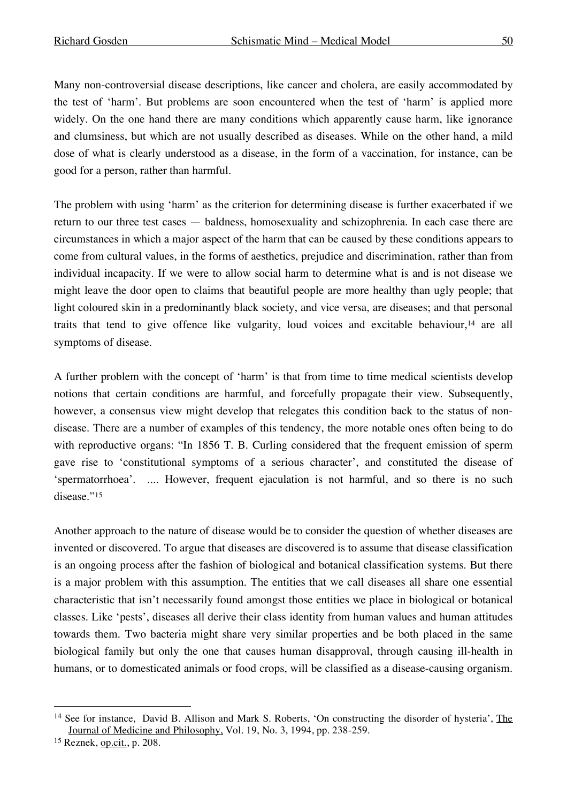Many non-controversial disease descriptions, like cancer and cholera, are easily accommodated by the test of 'harm'. But problems are soon encountered when the test of 'harm' is applied more widely. On the one hand there are many conditions which apparently cause harm, like ignorance and clumsiness, but which are not usually described as diseases. While on the other hand, a mild dose of what is clearly understood as a disease, in the form of a vaccination, for instance, can be good for a person, rather than harmful.

The problem with using 'harm' as the criterion for determining disease is further exacerbated if we return to our three test cases — baldness, homosexuality and schizophrenia. In each case there are circumstances in which a major aspect of the harm that can be caused by these conditions appears to come from cultural values, in the forms of aesthetics, prejudice and discrimination, rather than from individual incapacity. If we were to allow social harm to determine what is and is not disease we might leave the door open to claims that beautiful people are more healthy than ugly people; that light coloured skin in a predominantly black society, and vice versa, are diseases; and that personal traits that tend to give offence like vulgarity, loud voices and excitable behaviour,<sup>14</sup> are all symptoms of disease.

A further problem with the concept of 'harm' is that from time to time medical scientists develop notions that certain conditions are harmful, and forcefully propagate their view. Subsequently, however, a consensus view might develop that relegates this condition back to the status of nondisease. There are a number of examples of this tendency, the more notable ones often being to do with reproductive organs: "In 1856 T. B. Curling considered that the frequent emission of sperm gave rise to 'constitutional symptoms of a serious character', and constituted the disease of 'spermatorrhoea'. .... However, frequent ejaculation is not harmful, and so there is no such disease."<sup>15</sup>

Another approach to the nature of disease would be to consider the question of whether diseases are invented or discovered. To argue that diseases are discovered is to assume that disease classification is an ongoing process after the fashion of biological and botanical classification systems. But there is a major problem with this assumption. The entities that we call diseases all share one essential characteristic that isn't necessarily found amongst those entities we place in biological or botanical classes. Like 'pests', diseases all derive their class identity from human values and human attitudes towards them. Two bacteria might share very similar properties and be both placed in the same biological family but only the one that causes human disapproval, through causing ill-health in humans, or to domesticated animals or food crops, will be classified as a disease-causing organism.

<sup>&</sup>lt;sup>14</sup> See for instance, David B. Allison and Mark S. Roberts, 'On constructing the disorder of hysteria', The Journal of Medicine and Philosophy, Vol. 19, No. 3, 1994, pp. 238-259.

<sup>15</sup> Reznek, op.cit., p. 208.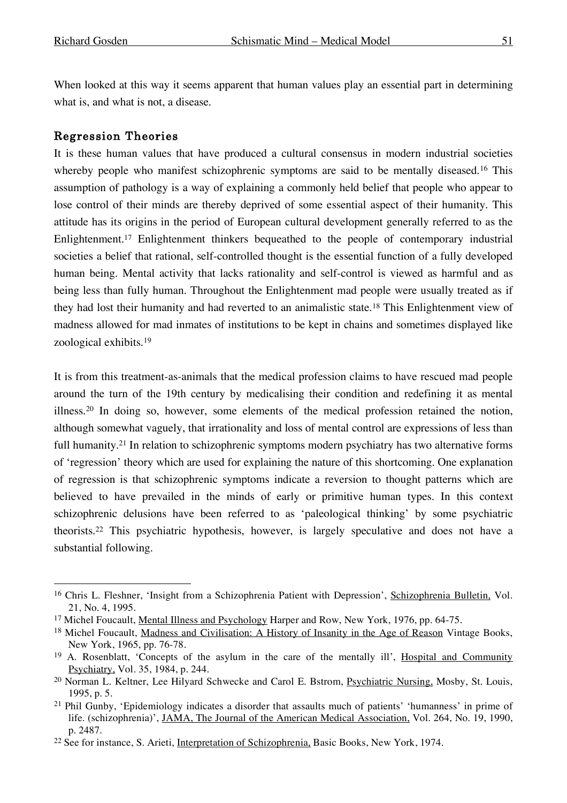When looked at this way it seems apparent that human values play an essential part in determining what is, and what is not, a disease.

#### Regression Theories

It is these human values that have produced a cultural consensus in modern industrial societies whereby people who manifest schizophrenic symptoms are said to be mentally diseased.<sup>16</sup> This assumption of pathology is a way of explaining a commonly held belief that people who appear to lose control of their minds are thereby deprived of some essential aspect of their humanity. This attitude has its origins in the period of European cultural development generally referred to as the Enlightenment.<sup>17</sup> Enlightenment thinkers bequeathed to the people of contemporary industrial societies a belief that rational, self-controlled thought is the essential function of a fully developed human being. Mental activity that lacks rationality and self-control is viewed as harmful and as being less than fully human. Throughout the Enlightenment mad people were usually treated as if they had lost their humanity and had reverted to an animalistic state. <sup>18</sup> This Enlightenment view of madness allowed for mad inmates of institutions to be kept in chains and sometimes displayed like zoological exhibits.19

It is from this treatment-as-animals that the medical profession claims to have rescued mad people around the turn of the 19th century by medicalising their condition and redefining it as mental illness.20 In doing so, however, some elements of the medical profession retained the notion, although somewhat vaguely, that irrationality and loss of mental control are expressions of less than full humanity.<sup>21</sup> In relation to schizophrenic symptoms modern psychiatry has two alternative forms of 'regression' theory which are used for explaining the nature of this shortcoming. One explanation of regression is that schizophrenic symptoms indicate a reversion to thought patterns which are believed to have prevailed in the minds of early or primitive human types. In this context schizophrenic delusions have been referred to as 'paleological thinking' by some psychiatric theorists.22 This psychiatric hypothesis, however, is largely speculative and does not have a substantial following.

<sup>&</sup>lt;sup>16</sup> Chris L. Fleshner, 'Insight from a Schizophrenia Patient with Depression', Schizophrenia Bulletin, Vol. 21, No. 4, 1995.

<sup>&</sup>lt;sup>17</sup> Michel Foucault, <u>Mental Illness and Psychology</u> Harper and Row, New York, 1976, pp. 64-75.

<sup>&</sup>lt;sup>18</sup> Michel Foucault, Madness and Civilisation: A History of Insanity in the Age of Reason Vintage Books, New York, 1965, pp. 76-78.

<sup>&</sup>lt;sup>19</sup> A. Rosenblatt, 'Concepts of the asylum in the care of the mentally ill', Hospital and Community Psychiatry, Vol. 35, 1984, p. 244.

<sup>20</sup> Norman L. Keltner, Lee Hilyard Schwecke and Carol E. Bstrom, Psychiatric Nursing, Mosby, St. Louis, 1995, p. 5.

<sup>21</sup> Phil Gunby, 'Epidemiology indicates a disorder that assaults much of patients' 'humanness' in prime of life. (schizophrenia)', JAMA, The Journal of the American Medical Association, Vol. 264, No. 19, 1990, p. 2487.

<sup>&</sup>lt;sup>22</sup> See for instance, S. Arieti, *Interpretation of Schizophrenia*, Basic Books, New York, 1974.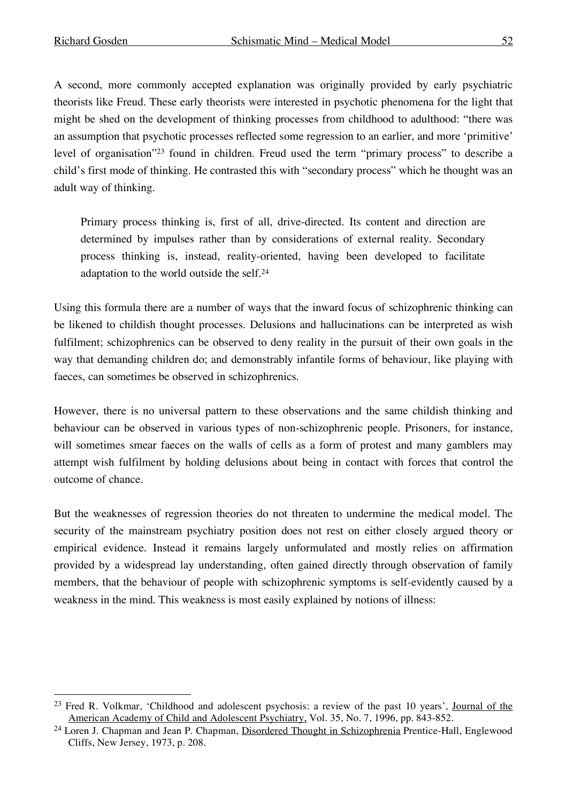A second, more commonly accepted explanation was originally provided by early psychiatric theorists like Freud. These early theorists were interested in psychotic phenomena for the light that might be shed on the development of thinking processes from childhood to adulthood: "there was an assumption that psychotic processes reflected some regression to an earlier, and more 'primitive' level of organisation"23 found in children. Freud used the term "primary process" to describe a child's first mode of thinking. He contrasted this with "secondary process" which he thought was an adult way of thinking.

Primary process thinking is, first of all, drive-directed. Its content and direction are determined by impulses rather than by considerations of external reality. Secondary process thinking is, instead, reality-oriented, having been developed to facilitate adaptation to the world outside the self. 24

Using this formula there are a number of ways that the inward focus of schizophrenic thinking can be likened to childish thought processes. Delusions and hallucinations can be interpreted as wish fulfilment; schizophrenics can be observed to deny reality in the pursuit of their own goals in the way that demanding children do; and demonstrably infantile forms of behaviour, like playing with faeces, can sometimes be observed in schizophrenics.

However, there is no universal pattern to these observations and the same childish thinking and behaviour can be observed in various types of non-schizophrenic people. Prisoners, for instance, will sometimes smear faeces on the walls of cells as a form of protest and many gamblers may attempt wish fulfilment by holding delusions about being in contact with forces that control the outcome of chance.

But the weaknesses of regression theories do not threaten to undermine the medical model. The security of the mainstream psychiatry position does not rest on either closely argued theory or empirical evidence. Instead it remains largely unformulated and mostly relies on affirmation provided by a widespread lay understanding, often gained directly through observation of family members, that the behaviour of people with schizophrenic symptoms is self-evidently caused by a weakness in the mind. This weakness is most easily explained by notions of illness:

 <sup>23</sup> Fred R. Volkmar, 'Childhood and adolescent psychosis: a review of the past <sup>10</sup> years', Journal of the American Academy of Child and Adolescent Psychiatry, Vol. 35, No. 7, 1996, pp. 843-852.

<sup>&</sup>lt;sup>24</sup> Loren J. Chapman and Jean P. Chapman, *Disordered Thought in Schizophrenia* Prentice-Hall, Englewood Cliffs, New Jersey, 1973, p. 208.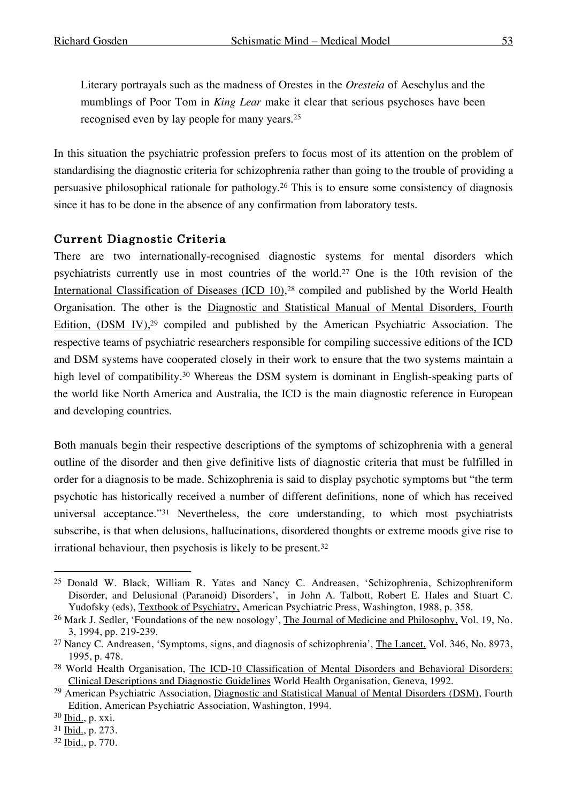Literary portrayals such as the madness of Orestes in the *Oresteia* of Aeschylus and the mumblings of Poor Tom in *King Lear* make it clear that serious psychoses have been recognised even by lay people for many years. 25

In this situation the psychiatric profession prefers to focus most of its attention on the problem of standardising the diagnostic criteria for schizophrenia rather than going to the trouble of providing a persuasive philosophical rationale for pathology. <sup>26</sup> This is to ensure some consistency of diagnosis since it has to be done in the absence of any confirmation from laboratory tests.

#### Current Diagnostic Criteria

There are two internationally-recognised diagnostic systems for mental disorders which psychiatrists currently use in most countries of the world.27 One is the 10th revision of the International Classification of Diseases (ICD 10),<sup>28</sup> compiled and published by the World Health Organisation. The other is the Diagnostic and Statistical Manual of Mental Disorders, Fourth Edition, (DSM IV).<sup>29</sup> compiled and published by the American Psychiatric Association. The respective teams of psychiatric researchers responsible for compiling successive editions of the ICD and DSM systems have cooperated closely in their work to ensure that the two systems maintain a high level of compatibility.<sup>30</sup> Whereas the DSM system is dominant in English-speaking parts of the world like North America and Australia, the ICD is the main diagnostic reference in European and developing countries.

Both manuals begin their respective descriptions of the symptoms of schizophrenia with a general outline of the disorder and then give definitive lists of diagnostic criteria that must be fulfilled in order for a diagnosis to be made. Schizophrenia is said to display psychotic symptoms but "the term psychotic has historically received a number of different definitions, none of which has received universal acceptance."31 Nevertheless, the core understanding, to which most psychiatrists subscribe, is that when delusions, hallucinations, disordered thoughts or extreme moods give rise to irrational behaviour, then psychosis is likely to be present.32

 <sup>25</sup> Donald W. Black, William R. Yates and Nancy C. Andreasen, 'Schizophrenia, Schizophreniform Disorder, and Delusional (Paranoid) Disorders', in John A. Talbott, Robert E. Hales and Stuart C. Yudofsky (eds), Textbook of Psychiatry, American Psychiatric Press, Washington, 1988, p. 358.

<sup>&</sup>lt;sup>26</sup> Mark J. Sedler, 'Foundations of the new nosology', The Journal of Medicine and Philosophy, Vol. 19, No. 3, 1994, pp. 219-239.

<sup>&</sup>lt;sup>27</sup> Nancy C. Andreasen, 'Symptoms, signs, and diagnosis of schizophrenia', The Lancet, Vol. 346, No. 8973, 1995, p. 478.

<sup>28</sup> World Health Organisation, The ICD-10 Classification of Mental Disorders and Behavioral Disorders: Clinical Descriptions and Diagnostic Guidelines World Health Organisation, Geneva, 1992.

<sup>&</sup>lt;sup>29</sup> American Psychiatric Association, Diagnostic and Statistical Manual of Mental Disorders (DSM), Fourth Edition, American Psychiatric Association, Washington, 1994.

<sup>30</sup> Ibid., p. xxi.

<sup>31</sup> Ibid., p. 273.

<sup>32</sup> Ibid., p. 770.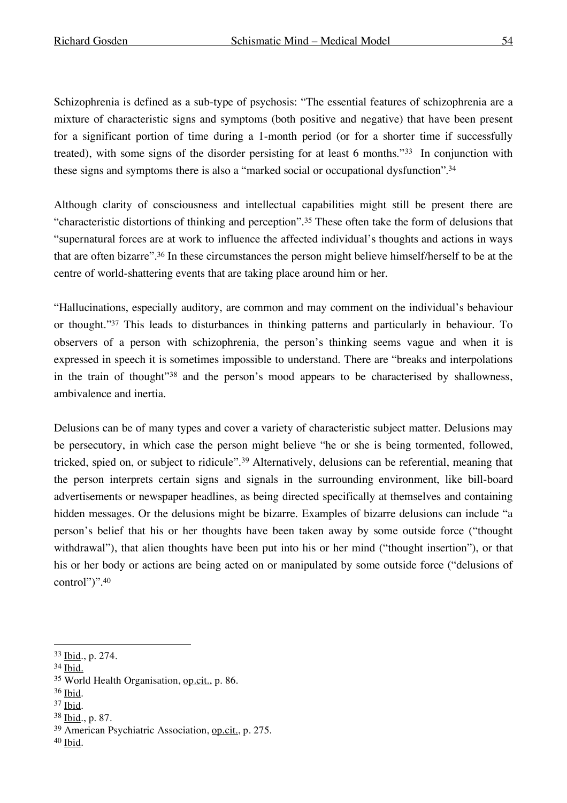Schizophrenia is defined as a sub-type of psychosis: "The essential features of schizophrenia are a mixture of characteristic signs and symptoms (both positive and negative) that have been present for a significant portion of time during a 1-month period (or for a shorter time if successfully treated), with some signs of the disorder persisting for at least 6 months."33 In conjunction with these signs and symptoms there is also a "marked social or occupational dysfunction". 34

Although clarity of consciousness and intellectual capabilities might still be present there are "characteristic distortions of thinking and perception". <sup>35</sup> These often take the form of delusions that "supernatural forces are at work to influence the affected individual's thoughts and actions in ways that are often bizarre". <sup>36</sup> In these circumstances the person might believe himself/herself to be at the centre of world-shattering events that are taking place around him or her.

"Hallucinations, especially auditory, are common and may comment on the individual's behaviour or thought."37 This leads to disturbances in thinking patterns and particularly in behaviour. To observers of a person with schizophrenia, the person's thinking seems vague and when it is expressed in speech it is sometimes impossible to understand. There are "breaks and interpolations in the train of thought"38 and the person's mood appears to be characterised by shallowness, ambivalence and inertia.

Delusions can be of many types and cover a variety of characteristic subject matter. Delusions may be persecutory, in which case the person might believe "he or she is being tormented, followed, tricked, spied on, or subject to ridicule".39 Alternatively, delusions can be referential, meaning that the person interprets certain signs and signals in the surrounding environment, like bill-board advertisements or newspaper headlines, as being directed specifically at themselves and containing hidden messages. Or the delusions might be bizarre. Examples of bizarre delusions can include "a person's belief that his or her thoughts have been taken away by some outside force ("thought withdrawal"), that alien thoughts have been put into his or her mind ("thought insertion"), or that his or her body or actions are being acted on or manipulated by some outside force ("delusions of control")". 40

<sup>34</sup> Ibid.

<sup>36</sup> Ibid.

<sup>38</sup> Ibid., p. 87.

 <sup>33</sup> Ibid., p. 274.

<sup>&</sup>lt;sup>35</sup> World Health Organisation, op.cit., p. 86.

<sup>37</sup> Ibid.

<sup>39</sup> American Psychiatric Association, op.cit., p. 275.

<sup>40</sup> Ibid.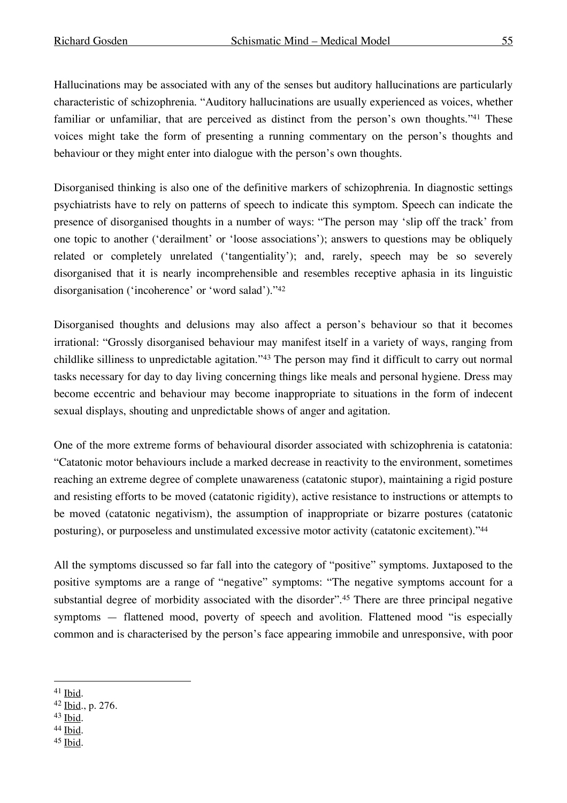Hallucinations may be associated with any of the senses but auditory hallucinations are particularly characteristic of schizophrenia. "Auditory hallucinations are usually experienced as voices, whether familiar or unfamiliar, that are perceived as distinct from the person's own thoughts."41 These voices might take the form of presenting a running commentary on the person's thoughts and behaviour or they might enter into dialogue with the person's own thoughts.

Disorganised thinking is also one of the definitive markers of schizophrenia. In diagnostic settings psychiatrists have to rely on patterns of speech to indicate this symptom. Speech can indicate the presence of disorganised thoughts in a number of ways: "The person may 'slip off the track' from one topic to another ('derailment' or 'loose associations'); answers to questions may be obliquely related or completely unrelated ('tangentiality'); and, rarely, speech may be so severely disorganised that it is nearly incomprehensible and resembles receptive aphasia in its linguistic disorganisation ('incoherence' or 'word salad')."42

Disorganised thoughts and delusions may also affect a person's behaviour so that it becomes irrational: "Grossly disorganised behaviour may manifest itself in a variety of ways, ranging from childlike silliness to unpredictable agitation."43 The person may find it difficult to carry out normal tasks necessary for day to day living concerning things like meals and personal hygiene. Dress may become eccentric and behaviour may become inappropriate to situations in the form of indecent sexual displays, shouting and unpredictable shows of anger and agitation.

One of the more extreme forms of behavioural disorder associated with schizophrenia is catatonia: "Catatonic motor behaviours include a marked decrease in reactivity to the environment, sometimes reaching an extreme degree of complete unawareness (catatonic stupor), maintaining a rigid posture and resisting efforts to be moved (catatonic rigidity), active resistance to instructions or attempts to be moved (catatonic negativism), the assumption of inappropriate or bizarre postures (catatonic posturing), or purposeless and unstimulated excessive motor activity (catatonic excitement)."44

All the symptoms discussed so far fall into the category of "positive" symptoms. Juxtaposed to the positive symptoms are a range of "negative" symptoms: "The negative symptoms account for a substantial degree of morbidity associated with the disorder". <sup>45</sup> There are three principal negative symptoms — flattened mood, poverty of speech and avolition. Flattened mood "is especially common and is characterised by the person's face appearing immobile and unresponsive, with poor

- <sup>43</sup> Ibid.
- <sup>44</sup> Ibid.
- <sup>45</sup> Ibid.

 <sup>41</sup> Ibid.

<sup>42</sup> Ibid., p. 276.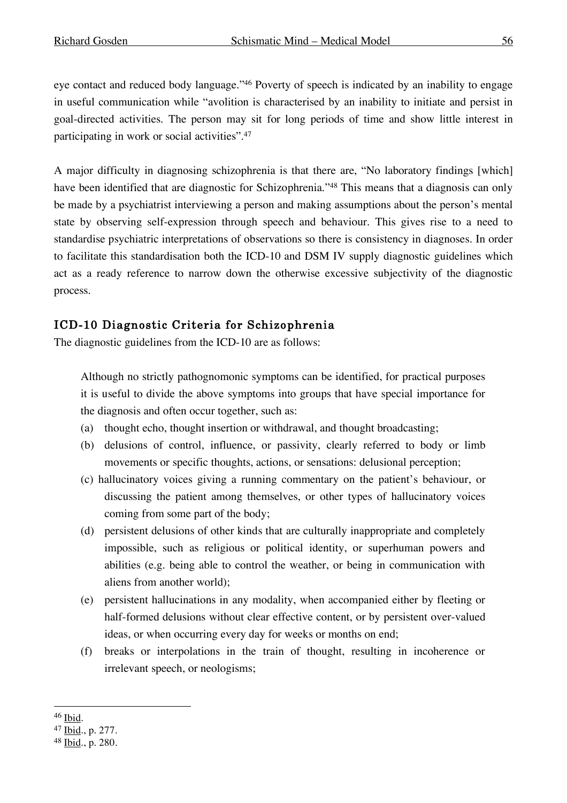eye contact and reduced body language."46 Poverty of speech is indicated by an inability to engage in useful communication while "avolition is characterised by an inability to initiate and persist in goal-directed activities. The person may sit for long periods of time and show little interest in participating in work or social activities". 47

A major difficulty in diagnosing schizophrenia is that there are, "No laboratory findings [which] have been identified that are diagnostic for Schizophrenia."<sup>48</sup> This means that a diagnosis can only be made by a psychiatrist interviewing a person and making assumptions about the person's mental state by observing self-expression through speech and behaviour. This gives rise to a need to standardise psychiatric interpretations of observations so there is consistency in diagnoses. In order to facilitate this standardisation both the ICD-10 and DSM IV supply diagnostic guidelines which act as a ready reference to narrow down the otherwise excessive subjectivity of the diagnostic process.

## ICD-10 Diagnostic Criteria for Schizophrenia

The diagnostic guidelines from the ICD-10 are as follows:

Although no strictly pathognomonic symptoms can be identified, for practical purposes it is useful to divide the above symptoms into groups that have special importance for the diagnosis and often occur together, such as:

- (a) thought echo, thought insertion or withdrawal, and thought broadcasting;
- (b) delusions of control, influence, or passivity, clearly referred to body or limb movements or specific thoughts, actions, or sensations: delusional perception;
- (c) hallucinatory voices giving a running commentary on the patient's behaviour, or discussing the patient among themselves, or other types of hallucinatory voices coming from some part of the body;
- (d) persistent delusions of other kinds that are culturally inappropriate and completely impossible, such as religious or political identity, or superhuman powers and abilities (e.g. being able to control the weather, or being in communication with aliens from another world);
- (e) persistent hallucinations in any modality, when accompanied either by fleeting or half-formed delusions without clear effective content, or by persistent over-valued ideas, or when occurring every day for weeks or months on end;
- (f) breaks or interpolations in the train of thought, resulting in incoherence or irrelevant speech, or neologisms;

 <sup>46</sup> Ibid.

<sup>47</sup> Ibid., p. 277.

<sup>48</sup> Ibid., p. 280.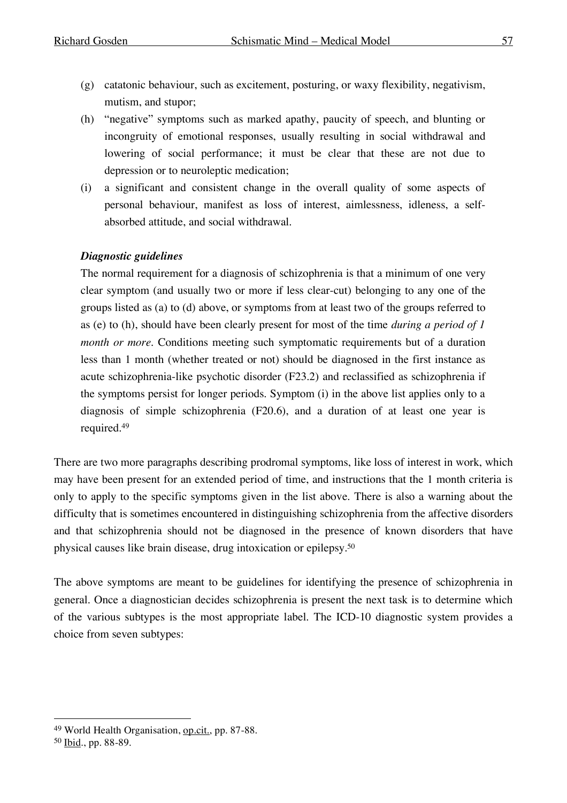- (g) catatonic behaviour, such as excitement, posturing, or waxy flexibility, negativism, mutism, and stupor;
- (h) "negative" symptoms such as marked apathy, paucity of speech, and blunting or incongruity of emotional responses, usually resulting in social withdrawal and lowering of social performance; it must be clear that these are not due to depression or to neuroleptic medication;
- (i) a significant and consistent change in the overall quality of some aspects of personal behaviour, manifest as loss of interest, aimlessness, idleness, a selfabsorbed attitude, and social withdrawal.

#### *Diagnostic guidelines*

The normal requirement for a diagnosis of schizophrenia is that a minimum of one very clear symptom (and usually two or more if less clear-cut) belonging to any one of the groups listed as (a) to (d) above, or symptoms from at least two of the groups referred to as (e) to (h), should have been clearly present for most of the time *during a period of 1 month or more.* Conditions meeting such symptomatic requirements but of a duration less than 1 month (whether treated or not) should be diagnosed in the first instance as acute schizophrenia-like psychotic disorder (F23.2) and reclassified as schizophrenia if the symptoms persist for longer periods. Symptom (i) in the above list applies only to a diagnosis of simple schizophrenia (F20.6), and a duration of at least one year is required. 49

There are two more paragraphs describing prodromal symptoms, like loss of interest in work, which may have been present for an extended period of time, and instructions that the 1 month criteria is only to apply to the specific symptoms given in the list above. There is also a warning about the difficulty that is sometimes encountered in distinguishing schizophrenia from the affective disorders and that schizophrenia should not be diagnosed in the presence of known disorders that have physical causes like brain disease, drug intoxication or epilepsy.50

The above symptoms are meant to be guidelines for identifying the presence of schizophrenia in general. Once a diagnostician decides schizophrenia is present the next task is to determine which of the various subtypes is the most appropriate label. The ICD-10 diagnostic system provides a choice from seven subtypes:

 <sup>49</sup> World Health Organisation, op.cit., pp. 87-88.

<sup>50</sup> Ibid., pp. 88-89.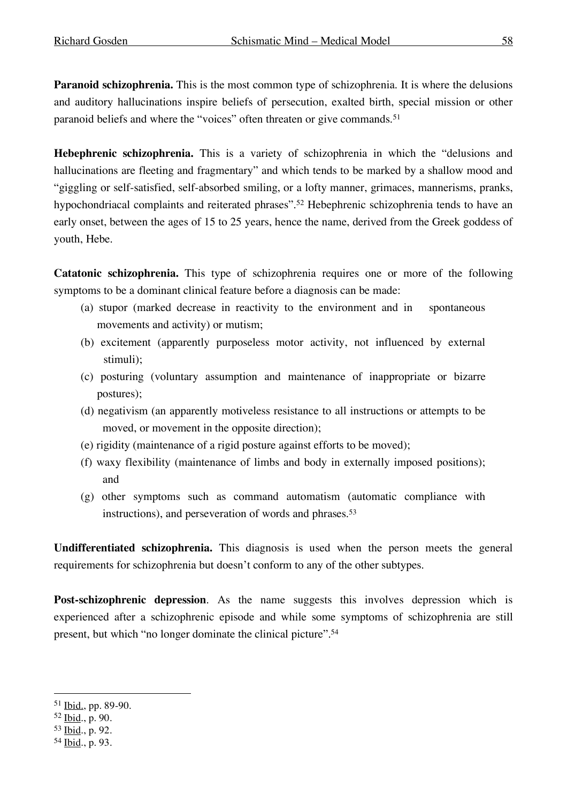**Paranoid schizophrenia.** This is the most common type of schizophrenia. It is where the delusions and auditory hallucinations inspire beliefs of persecution, exalted birth, special mission or other paranoid beliefs and where the "voices" often threaten or give commands. 51

**Hebephrenic schizophrenia.** This is a variety of schizophrenia in which the "delusions and hallucinations are fleeting and fragmentary" and which tends to be marked by a shallow mood and "giggling or self-satisfied, self-absorbed smiling, or a lofty manner, grimaces, mannerisms, pranks, hypochondriacal complaints and reiterated phrases". <sup>52</sup> Hebephrenic schizophrenia tends to have an early onset, between the ages of 15 to 25 years, hence the name, derived from the Greek goddess of youth, Hebe.

**Catatonic schizophrenia.** This type of schizophrenia requires one or more of the following symptoms to be a dominant clinical feature before a diagnosis can be made:

- (a) stupor (marked decrease in reactivity to the environment and in spontaneous movements and activity) or mutism;
- (b) excitement (apparently purposeless motor activity, not influenced by external stimuli);
- (c) posturing (voluntary assumption and maintenance of inappropriate or bizarre postures);
- (d) negativism (an apparently motiveless resistance to all instructions or attempts to be moved, or movement in the opposite direction);
- (e) rigidity (maintenance of a rigid posture against efforts to be moved);
- (f) waxy flexibility (maintenance of limbs and body in externally imposed positions); and
- (g) other symptoms such as command automatism (automatic compliance with instructions), and perseveration of words and phrases.<sup>53</sup>

**Undifferentiated schizophrenia.** This diagnosis is used when the person meets the general requirements for schizophrenia but doesn't conform to any of the other subtypes.

**Post-schizophrenic depression**. As the name suggests this involves depression which is experienced after a schizophrenic episode and while some symptoms of schizophrenia are still present, but which "no longer dominate the clinical picture". 54

<sup>53</sup> Ibid., p. 92.

 <sup>51</sup> Ibid., pp. 89-90.

<sup>52</sup> Ibid., p. 90.

<sup>54</sup> Ibid., p. 93.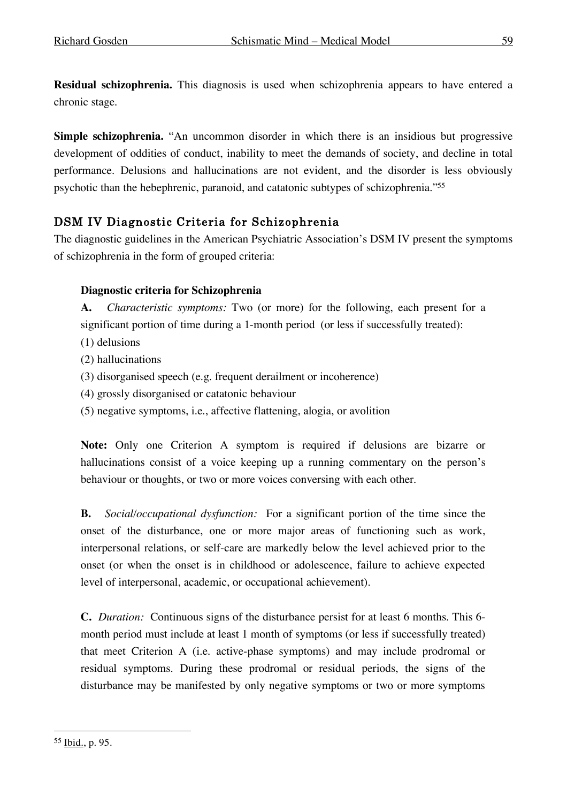**Residual schizophrenia.** This diagnosis is used when schizophrenia appears to have entered a chronic stage.

**Simple schizophrenia.** "An uncommon disorder in which there is an insidious but progressive development of oddities of conduct, inability to meet the demands of society, and decline in total performance. Delusions and hallucinations are not evident, and the disorder is less obviously psychotic than the hebephrenic, paranoid, and catatonic subtypes of schizophrenia."55

## DSM IV Diagnostic Criteria for Schizophrenia

The diagnostic guidelines in the American Psychiatric Association's DSM IV present the symptoms of schizophrenia in the form of grouped criteria:

#### **Diagnostic criteria for Schizophrenia**

**A.** *Characteristic symptoms:* Two (or more) for the following, each present for a significant portion of time during a 1-month period (or less if successfully treated):

- (1) delusions
- (2) hallucinations
- (3) disorganised speech (e.g. frequent derailment or incoherence)
- (4) grossly disorganised or catatonic behaviour
- (5) negative symptoms, i.e., affective flattening, alogia, or avolition

**Note:** Only one Criterion A symptom is required if delusions are bizarre or hallucinations consist of a voice keeping up a running commentary on the person's behaviour or thoughts, or two or more voices conversing with each other.

**B.** *Social/occupational dysfunction:* For a significant portion of the time since the onset of the disturbance, one or more major areas of functioning such as work, interpersonal relations, or self-care are markedly below the level achieved prior to the onset (or when the onset is in childhood or adolescence, failure to achieve expected level of interpersonal, academic, or occupational achievement).

**C.** *Duration:* Continuous signs of the disturbance persist for at least 6 months. This 6 month period must include at least 1 month of symptoms (or less if successfully treated) that meet Criterion A (i.e. active-phase symptoms) and may include prodromal or residual symptoms. During these prodromal or residual periods, the signs of the disturbance may be manifested by only negative symptoms or two or more symptoms

 <sup>55</sup> Ibid., p. 95.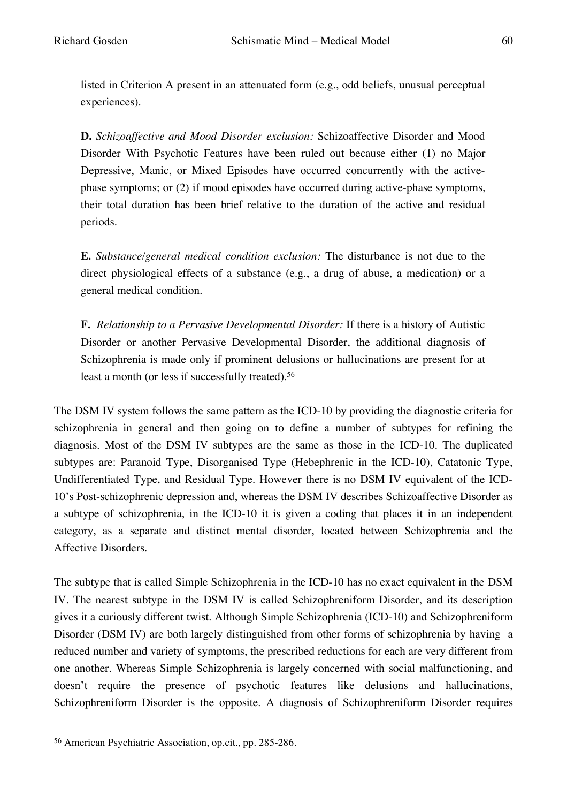listed in Criterion A present in an attenuated form (e.g., odd beliefs, unusual perceptual experiences).

**D.** *Schizoaffective and Mood Disorder exclusion:* Schizoaffective Disorder and Mood Disorder With Psychotic Features have been ruled out because either (1) no Major Depressive, Manic, or Mixed Episodes have occurred concurrently with the activephase symptoms; or (2) if mood episodes have occurred during active-phase symptoms, their total duration has been brief relative to the duration of the active and residual periods.

**E.** *Substance/general medical condition exclusion:* The disturbance is not due to the direct physiological effects of a substance (e.g., a drug of abuse, a medication) or a general medical condition.

**F.** *Relationship to a Pervasive Developmental Disorder:* If there is a history of Autistic Disorder or another Pervasive Developmental Disorder, the additional diagnosis of Schizophrenia is made only if prominent delusions or hallucinations are present for at least a month (or less if successfully treated). 56

The DSM IV system follows the same pattern as the ICD-10 by providing the diagnostic criteria for schizophrenia in general and then going on to define a number of subtypes for refining the diagnosis. Most of the DSM IV subtypes are the same as those in the ICD-10. The duplicated subtypes are: Paranoid Type, Disorganised Type (Hebephrenic in the ICD-10), Catatonic Type, Undifferentiated Type, and Residual Type. However there is no DSM IV equivalent of the ICD-10's Post-schizophrenic depression and, whereas the DSM IV describes Schizoaffective Disorder as a subtype of schizophrenia, in the ICD-10 it is given a coding that places it in an independent category, as a separate and distinct mental disorder, located between Schizophrenia and the Affective Disorders.

The subtype that is called Simple Schizophrenia in the ICD-10 has no exact equivalent in the DSM IV. The nearest subtype in the DSM IV is called Schizophreniform Disorder, and its description gives it a curiously different twist. Although Simple Schizophrenia (ICD-10) and Schizophreniform Disorder (DSM IV) are both largely distinguished from other forms of schizophrenia by having a reduced number and variety of symptoms, the prescribed reductions for each are very different from one another. Whereas Simple Schizophrenia is largely concerned with social malfunctioning, and doesn't require the presence of psychotic features like delusions and hallucinations, Schizophreniform Disorder is the opposite. A diagnosis of Schizophreniform Disorder requires

 <sup>56</sup> American Psychiatric Association, op.cit., pp. 285-286.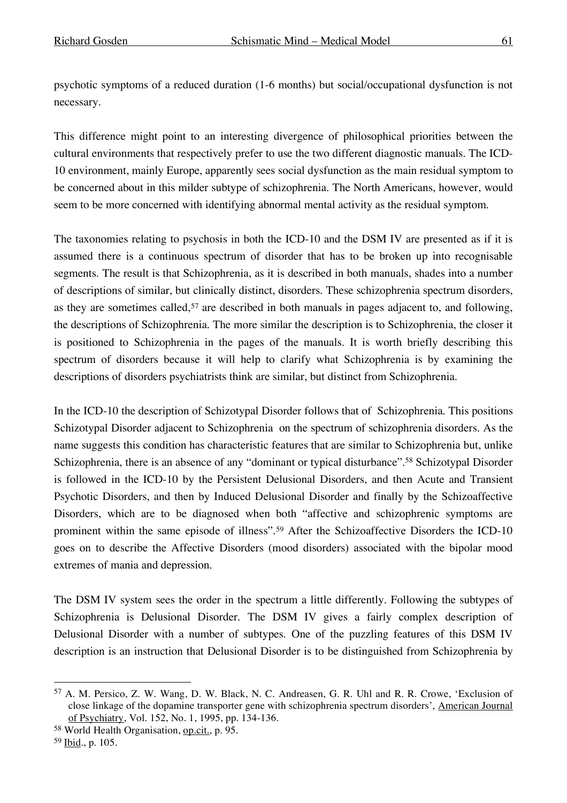psychotic symptoms of a reduced duration (1-6 months) but social/occupational dysfunction is not necessary.

This difference might point to an interesting divergence of philosophical priorities between the cultural environments that respectively prefer to use the two different diagnostic manuals. The ICD-10 environment, mainly Europe, apparently sees social dysfunction as the main residual symptom to be concerned about in this milder subtype of schizophrenia. The North Americans, however, would seem to be more concerned with identifying abnormal mental activity as the residual symptom.

The taxonomies relating to psychosis in both the ICD-10 and the DSM IV are presented as if it is assumed there is a continuous spectrum of disorder that has to be broken up into recognisable segments. The result is that Schizophrenia, as it is described in both manuals, shades into a number of descriptions of similar, but clinically distinct, disorders. These schizophrenia spectrum disorders, as they are sometimes called,<sup>57</sup> are described in both manuals in pages adjacent to, and following, the descriptions of Schizophrenia. The more similar the description is to Schizophrenia, the closer it is positioned to Schizophrenia in the pages of the manuals. It is worth briefly describing this spectrum of disorders because it will help to clarify what Schizophrenia is by examining the descriptions of disorders psychiatrists think are similar, but distinct from Schizophrenia.

In the ICD-10 the description of Schizotypal Disorder follows that of Schizophrenia. This positions Schizotypal Disorder adjacent to Schizophrenia on the spectrum of schizophrenia disorders. As the name suggests this condition has characteristic features that are similar to Schizophrenia but, unlike Schizophrenia, there is an absence of any "dominant or typical disturbance".58 Schizotypal Disorder is followed in the ICD-10 by the Persistent Delusional Disorders, and then Acute and Transient Psychotic Disorders, and then by Induced Delusional Disorder and finally by the Schizoaffective Disorders, which are to be diagnosed when both "affective and schizophrenic symptoms are prominent within the same episode of illness".59 After the Schizoaffective Disorders the ICD-10 goes on to describe the Affective Disorders (mood disorders) associated with the bipolar mood extremes of mania and depression.

The DSM IV system sees the order in the spectrum a little differently. Following the subtypes of Schizophrenia is Delusional Disorder. The DSM IV gives a fairly complex description of Delusional Disorder with a number of subtypes. One of the puzzling features of this DSM IV description is an instruction that Delusional Disorder is to be distinguished from Schizophrenia by

 <sup>57</sup> A. M. Persico, Z. W. Wang, D. W. Black, N. C. Andreasen, G. R. Uhl and R. R. Crowe, 'Exclusion of close linkage of the dopamine transporter gene with schizophrenia spectrum disorders', American Journal of Psychiatry, Vol. 152, No. 1, 1995, pp. 134-136.

<sup>58</sup> World Health Organisation, op.cit., p. 95.

<sup>59</sup> Ibid., p. 105.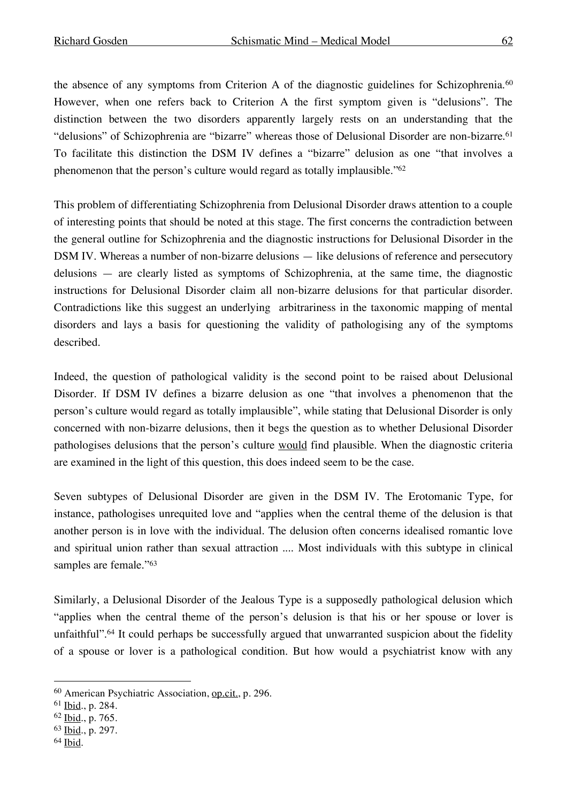the absence of any symptoms from Criterion A of the diagnostic guidelines for Schizophrenia.<sup>60</sup> However, when one refers back to Criterion A the first symptom given is "delusions". The distinction between the two disorders apparently largely rests on an understanding that the "delusions" of Schizophrenia are "bizarre" whereas those of Delusional Disorder are non-bizarre. 61 To facilitate this distinction the DSM IV defines a "bizarre" delusion as one "that involves a phenomenon that the person's culture would regard as totally implausible."62

This problem of differentiating Schizophrenia from Delusional Disorder draws attention to a couple of interesting points that should be noted at this stage. The first concerns the contradiction between the general outline for Schizophrenia and the diagnostic instructions for Delusional Disorder in the DSM IV. Whereas a number of non-bizarre delusions — like delusions of reference and persecutory delusions — are clearly listed as symptoms of Schizophrenia, at the same time, the diagnostic instructions for Delusional Disorder claim all non-bizarre delusions for that particular disorder. Contradictions like this suggest an underlying arbitrariness in the taxonomic mapping of mental disorders and lays a basis for questioning the validity of pathologising any of the symptoms described.

Indeed, the question of pathological validity is the second point to be raised about Delusional Disorder. If DSM IV defines a bizarre delusion as one "that involves a phenomenon that the person's culture would regard as totally implausible", while stating that Delusional Disorder is only concerned with non-bizarre delusions, then it begs the question as to whether Delusional Disorder pathologises delusions that the person's culture would find plausible. When the diagnostic criteria are examined in the light of this question, this does indeed seem to be the case.

Seven subtypes of Delusional Disorder are given in the DSM IV. The Erotomanic Type, for instance, pathologises unrequited love and "applies when the central theme of the delusion is that another person is in love with the individual. The delusion often concerns idealised romantic love and spiritual union rather than sexual attraction .... Most individuals with this subtype in clinical samples are female."<sup>63</sup>

Similarly, a Delusional Disorder of the Jealous Type is a supposedly pathological delusion which "applies when the central theme of the person's delusion is that his or her spouse or lover is unfaithful". <sup>64</sup> It could perhaps be successfully argued that unwarranted suspicion about the fidelity of a spouse or lover is a pathological condition. But how would a psychiatrist know with any

 <sup>60</sup> American Psychiatric Association, op.cit., p. 296.

<sup>61</sup> Ibid., p. 284.

<sup>62</sup> Ibid., p. 765.

<sup>63</sup> Ibid., p. 297.

<sup>64</sup> Ibid.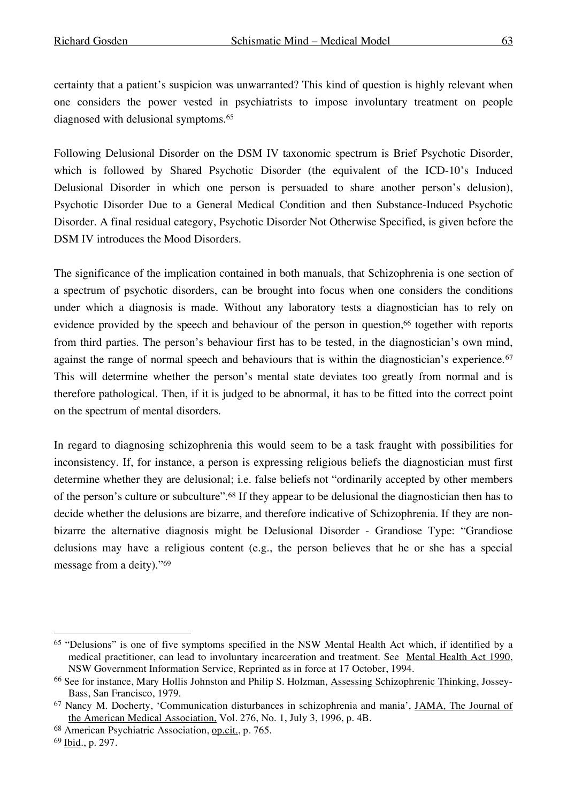certainty that a patient's suspicion was unwarranted? This kind of question is highly relevant when one considers the power vested in psychiatrists to impose involuntary treatment on people diagnosed with delusional symptoms. 65

Following Delusional Disorder on the DSM IV taxonomic spectrum is Brief Psychotic Disorder, which is followed by Shared Psychotic Disorder (the equivalent of the ICD-10's Induced Delusional Disorder in which one person is persuaded to share another person's delusion), Psychotic Disorder Due to a General Medical Condition and then Substance-Induced Psychotic Disorder. A final residual category, Psychotic Disorder Not Otherwise Specified, is given before the DSM IV introduces the Mood Disorders.

The significance of the implication contained in both manuals, that Schizophrenia is one section of a spectrum of psychotic disorders, can be brought into focus when one considers the conditions under which a diagnosis is made. Without any laboratory tests a diagnostician has to rely on evidence provided by the speech and behaviour of the person in question,<sup>66</sup> together with reports from third parties. The person's behaviour first has to be tested, in the diagnostician's own mind, against the range of normal speech and behaviours that is within the diagnostician's experience.<sup>67</sup> This will determine whether the person's mental state deviates too greatly from normal and is therefore pathological. Then, if it is judged to be abnormal, it has to be fitted into the correct point on the spectrum of mental disorders.

In regard to diagnosing schizophrenia this would seem to be a task fraught with possibilities for inconsistency. If, for instance, a person is expressing religious beliefs the diagnostician must first determine whether they are delusional; i.e. false beliefs not "ordinarily accepted by other members of the person's culture or subculture".68 If they appear to be delusional the diagnostician then has to decide whether the delusions are bizarre, and therefore indicative of Schizophrenia. If they are nonbizarre the alternative diagnosis might be Delusional Disorder - Grandiose Type: "Grandiose delusions may have a religious content (e.g., the person believes that he or she has a special message from a deity)."69

 <sup>65</sup> "Delusions" is one of five symptoms specified in the NSW Mental Health Act which, if identified by <sup>a</sup> medical practitioner, can lead to involuntary incarceration and treatment. See Mental Health Act 1990, NSW Government Information Service, Reprinted as in force at 17 October, 1994.

<sup>66</sup> See for instance, Mary Hollis Johnston and Philip S. Holzman, Assessing Schizophrenic Thinking, Jossey-Bass, San Francisco, 1979.

<sup>67</sup> Nancy M. Docherty, 'Communication disturbances in schizophrenia and mania', JAMA, The Journal of the American Medical Association, Vol. 276, No. 1, July 3, 1996, p. 4B.

<sup>68</sup> American Psychiatric Association, op.cit., p. 765.

<sup>69</sup> Ibid., p. 297.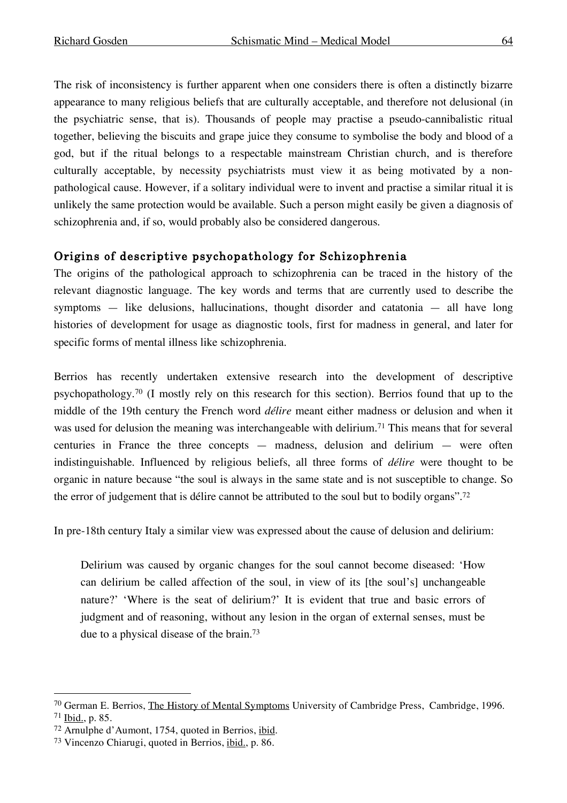The risk of inconsistency is further apparent when one considers there is often a distinctly bizarre appearance to many religious beliefs that are culturally acceptable, and therefore not delusional (in the psychiatric sense, that is). Thousands of people may practise a pseudo-cannibalistic ritual together, believing the biscuits and grape juice they consume to symbolise the body and blood of a god, but if the ritual belongs to a respectable mainstream Christian church, and is therefore culturally acceptable, by necessity psychiatrists must view it as being motivated by a nonpathological cause. However, if a solitary individual were to invent and practise a similar ritual it is unlikely the same protection would be available. Such a person might easily be given a diagnosis of schizophrenia and, if so, would probably also be considered dangerous.

### Origins of descriptive psychopathology for Schizophrenia

The origins of the pathological approach to schizophrenia can be traced in the history of the relevant diagnostic language. The key words and terms that are currently used to describe the symptoms — like delusions, hallucinations, thought disorder and catatonia — all have long histories of development for usage as diagnostic tools, first for madness in general, and later for specific forms of mental illness like schizophrenia.

Berrios has recently undertaken extensive research into the development of descriptive psychopathology.70 (I mostly rely on this research for this section). Berrios found that up to the middle of the 19th century the French word *délire* meant either madness or delusion and when it was used for delusion the meaning was interchangeable with delirium.<sup>71</sup> This means that for several centuries in France the three concepts — madness, delusion and delirium — were often indistinguishable. Influenced by religious beliefs, all three forms of *délire* were thought to be organic in nature because "the soul is always in the same state and is not susceptible to change. So the error of judgement that is délire cannot be attributed to the soul but to bodily organs". 72

In pre-18th century Italy a similar view was expressed about the cause of delusion and delirium:

Delirium was caused by organic changes for the soul cannot become diseased: 'How can delirium be called affection of the soul, in view of its [the soul's] unchangeable nature?' 'Where is the seat of delirium?' It is evident that true and basic errors of judgment and of reasoning, without any lesion in the organ of external senses, must be due to a physical disease of the brain.73

 <sup>70</sup> German E. Berrios, The History of Mental Symptoms University of Cambridge Press, Cambridge, 1996. <sup>71</sup> Ibid., p. 85.

<sup>72</sup> Arnulphe d'Aumont, 1754, quoted in Berrios, ibid.

<sup>73</sup> Vincenzo Chiarugi, quoted in Berrios, ibid., p. 86.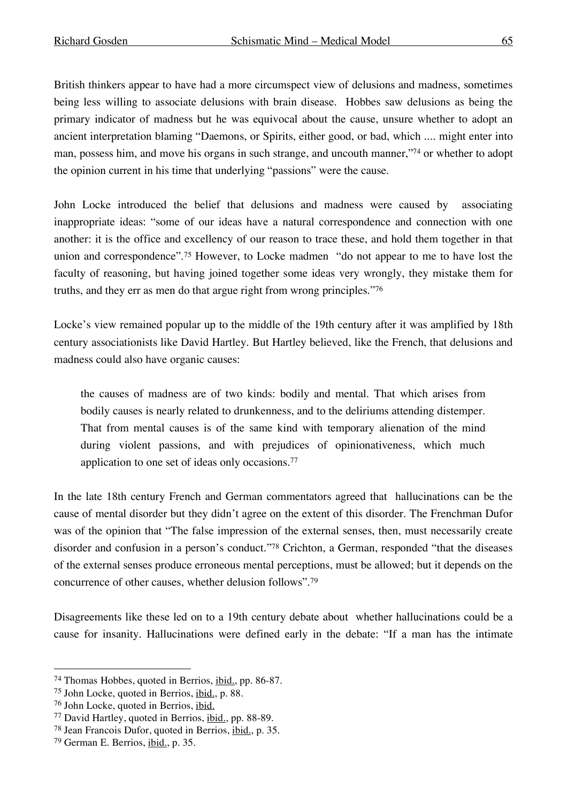British thinkers appear to have had a more circumspect view of delusions and madness, sometimes being less willing to associate delusions with brain disease. Hobbes saw delusions as being the

primary indicator of madness but he was equivocal about the cause, unsure whether to adopt an ancient interpretation blaming "Daemons, or Spirits, either good, or bad, which .... might enter into man, possess him, and move his organs in such strange, and uncouth manner,"74 or whether to adopt the opinion current in his time that underlying "passions" were the cause.

John Locke introduced the belief that delusions and madness were caused by associating inappropriate ideas: "some of our ideas have a natural correspondence and connection with one another: it is the office and excellency of our reason to trace these, and hold them together in that union and correspondence". <sup>75</sup> However, to Locke madmen "do not appear to me to have lost the faculty of reasoning, but having joined together some ideas very wrongly, they mistake them for truths, and they err as men do that argue right from wrong principles."76

Locke's view remained popular up to the middle of the 19th century after it was amplified by 18th century associationists like David Hartley. But Hartley believed, like the French, that delusions and madness could also have organic causes:

the causes of madness are of two kinds: bodily and mental. That which arises from bodily causes is nearly related to drunkenness, and to the deliriums attending distemper. That from mental causes is of the same kind with temporary alienation of the mind during violent passions, and with prejudices of opinionativeness, which much application to one set of ideas only occasions.77

In the late 18th century French and German commentators agreed that hallucinations can be the cause of mental disorder but they didn't agree on the extent of this disorder. The Frenchman Dufor was of the opinion that "The false impression of the external senses, then, must necessarily create disorder and confusion in a person's conduct."78 Crichton, a German, responded "that the diseases of the external senses produce erroneous mental perceptions, must be allowed; but it depends on the concurrence of other causes, whether delusion follows".79

Disagreements like these led on to a 19th century debate about whether hallucinations could be a cause for insanity. Hallucinations were defined early in the debate: "If a man has the intimate

 <sup>74</sup> Thomas Hobbes, quoted in Berrios, ibid., pp. 86-87.

<sup>75</sup> John Locke, quoted in Berrios, ibid., p. 88.

<sup>76</sup> John Locke, quoted in Berrios, ibid.

<sup>77</sup> David Hartley, quoted in Berrios, ibid., pp. 88-89.

<sup>78</sup> Jean Francois Dufor, quoted in Berrios, ibid., p. 35.

<sup>79</sup> German E. Berrios, ibid., p. 35.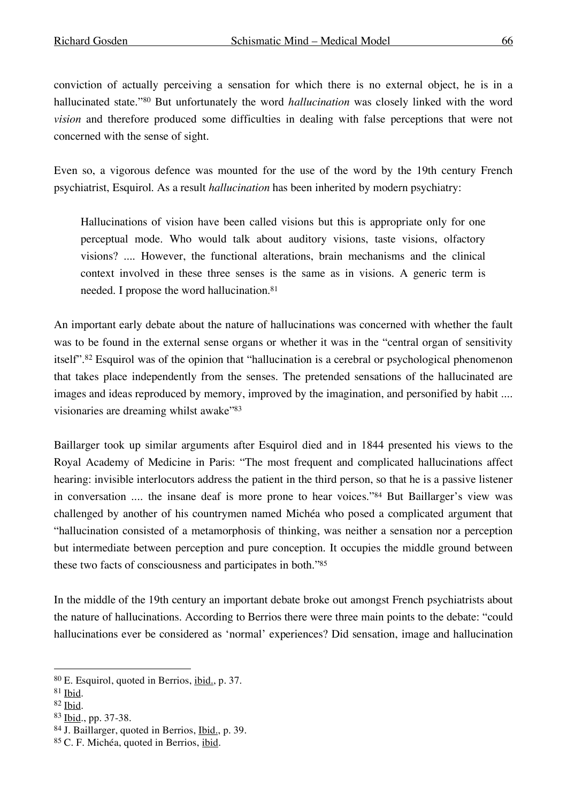conviction of actually perceiving a sensation for which there is no external object, he is in a hallucinated state."80 But unfortunately the word *hallucination* was closely linked with the word *vision* and therefore produced some difficulties in dealing with false perceptions that were not concerned with the sense of sight.

Even so, a vigorous defence was mounted for the use of the word by the 19th century French psychiatrist, Esquirol. As a result *hallucination* has been inherited by modern psychiatry:

Hallucinations of vision have been called visions but this is appropriate only for one perceptual mode. Who would talk about auditory visions, taste visions, olfactory visions? .... However, the functional alterations, brain mechanisms and the clinical context involved in these three senses is the same as in visions. A generic term is needed. I propose the word hallucination.81

An important early debate about the nature of hallucinations was concerned with whether the fault was to be found in the external sense organs or whether it was in the "central organ of sensitivity itself".82 Esquirol was of the opinion that "hallucination is a cerebral or psychological phenomenon that takes place independently from the senses. The pretended sensations of the hallucinated are images and ideas reproduced by memory, improved by the imagination, and personified by habit .... visionaries are dreaming whilst awake"83

Baillarger took up similar arguments after Esquirol died and in 1844 presented his views to the Royal Academy of Medicine in Paris: "The most frequent and complicated hallucinations affect hearing: invisible interlocutors address the patient in the third person, so that he is a passive listener in conversation .... the insane deaf is more prone to hear voices."84 But Baillarger's view was challenged by another of his countrymen named Michéa who posed a complicated argument that "hallucination consisted of a metamorphosis of thinking, was neither a sensation nor a perception but intermediate between perception and pure conception. It occupies the middle ground between these two facts of consciousness and participates in both."85

In the middle of the 19th century an important debate broke out amongst French psychiatrists about the nature of hallucinations. According to Berrios there were three main points to the debate: "could hallucinations ever be considered as 'normal' experiences? Did sensation, image and hallucination

 <sup>80</sup> E. Esquirol, quoted in Berrios, ibid., p. 37.

<sup>81</sup> Ibid.

<sup>82</sup> Ibid.

<sup>83</sup> Ibid., pp. 37-38.

<sup>84</sup> J. Baillarger, quoted in Berrios, Ibid., p. 39.

<sup>85</sup> C. F. Michéa, quoted in Berrios, ibid.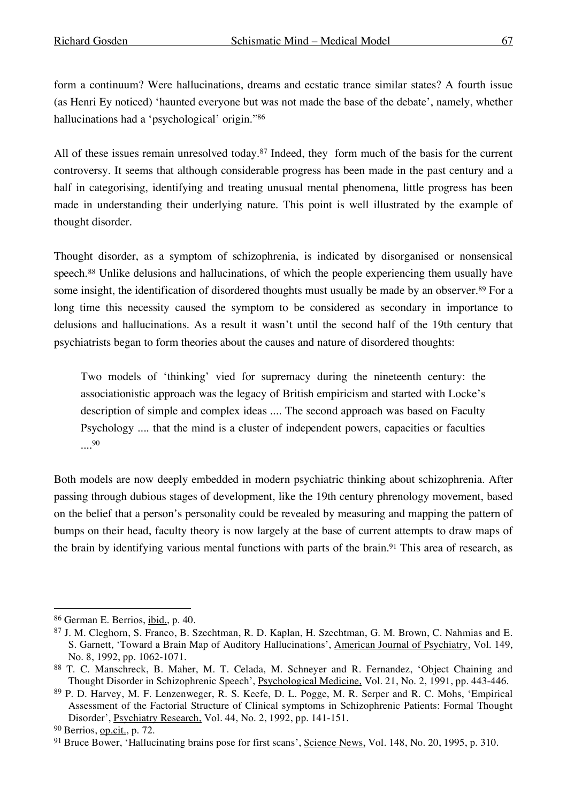form a continuum? Were hallucinations, dreams and ecstatic trance similar states? A fourth issue (as Henri Ey noticed) 'haunted everyone but was not made the base of the debate', namely, whether hallucinations had a 'psychological' origin."86

All of these issues remain unresolved today.<sup>87</sup> Indeed, they form much of the basis for the current controversy. It seems that although considerable progress has been made in the past century and a half in categorising, identifying and treating unusual mental phenomena, little progress has been made in understanding their underlying nature. This point is well illustrated by the example of thought disorder.

Thought disorder, as a symptom of schizophrenia, is indicated by disorganised or nonsensical speech.88 Unlike delusions and hallucinations, of which the people experiencing them usually have some insight, the identification of disordered thoughts must usually be made by an observer. <sup>89</sup> For a long time this necessity caused the symptom to be considered as secondary in importance to delusions and hallucinations. As a result it wasn't until the second half of the 19th century that psychiatrists began to form theories about the causes and nature of disordered thoughts:

Two models of 'thinking' vied for supremacy during the nineteenth century: the associationistic approach was the legacy of British empiricism and started with Locke's description of simple and complex ideas .... The second approach was based on Faculty Psychology .... that the mind is a cluster of independent powers, capacities or faculties .... 90

Both models are now deeply embedded in modern psychiatric thinking about schizophrenia. After passing through dubious stages of development, like the 19th century phrenology movement, based on the belief that a person's personality could be revealed by measuring and mapping the pattern of bumps on their head, faculty theory is now largely at the base of current attempts to draw maps of the brain by identifying various mental functions with parts of the brain.<sup>91</sup> This area of research, as

 <sup>86</sup> German E. Berrios, ibid., p. 40.

<sup>87</sup> J. M. Cleghorn, S. Franco, B. Szechtman, R. D. Kaplan, H. Szechtman, G. M. Brown, C. Nahmias and E. S. Garnett, 'Toward a Brain Map of Auditory Hallucinations', American Journal of Psychiatry, Vol. 149, No. 8, 1992, pp. 1062-1071.

<sup>88</sup> T. C. Manschreck, B. Maher, M. T. Celada, M. Schneyer and R. Fernandez, 'Object Chaining and Thought Disorder in Schizophrenic Speech', Psychological Medicine, Vol. 21, No. 2, 1991, pp. 443-446.

<sup>89</sup> P. D. Harvey, M. F. Lenzenweger, R. S. Keefe, D. L. Pogge, M. R. Serper and R. C. Mohs, 'Empirical Assessment of the Factorial Structure of Clinical symptoms in Schizophrenic Patients: Formal Thought Disorder', Psychiatry Research, Vol. 44, No. 2, 1992, pp. 141-151.

<sup>90</sup> Berrios, op.cit., p. 72.

<sup>&</sup>lt;sup>91</sup> Bruce Bower, 'Hallucinating brains pose for first scans', Science News, Vol. 148, No. 20, 1995, p. 310.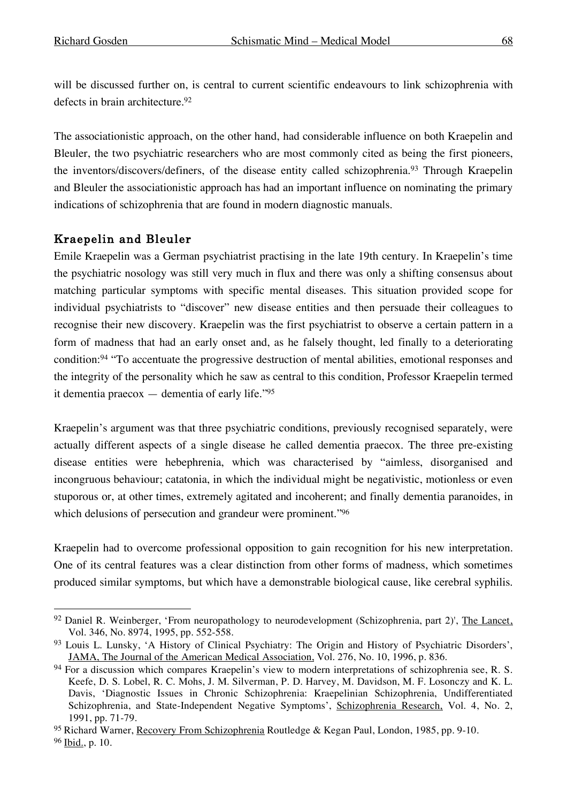will be discussed further on, is central to current scientific endeavours to link schizophrenia with defects in brain architecture. 92

The associationistic approach, on the other hand, had considerable influence on both Kraepelin and Bleuler, the two psychiatric researchers who are most commonly cited as being the first pioneers, the inventors/discovers/definers, of the disease entity called schizophrenia. <sup>93</sup> Through Kraepelin and Bleuler the associationistic approach has had an important influence on nominating the primary indications of schizophrenia that are found in modern diagnostic manuals.

## Kraepelin and Bleuler

Emile Kraepelin was a German psychiatrist practising in the late 19th century. In Kraepelin's time the psychiatric nosology was still very much in flux and there was only a shifting consensus about matching particular symptoms with specific mental diseases. This situation provided scope for individual psychiatrists to "discover" new disease entities and then persuade their colleagues to recognise their new discovery. Kraepelin was the first psychiatrist to observe a certain pattern in a form of madness that had an early onset and, as he falsely thought, led finally to a deteriorating condition:94 "To accentuate the progressive destruction of mental abilities, emotional responses and the integrity of the personality which he saw as central to this condition, Professor Kraepelin termed it dementia praecox — dementia of early life."95

Kraepelin's argument was that three psychiatric conditions, previously recognised separately, were actually different aspects of a single disease he called dementia praecox. The three pre-existing disease entities were hebephrenia, which was characterised by "aimless, disorganised and incongruous behaviour; catatonia, in which the individual might be negativistic, motionless or even stuporous or, at other times, extremely agitated and incoherent; and finally dementia paranoides, in which delusions of persecution and grandeur were prominent."<sup>96</sup>

Kraepelin had to overcome professional opposition to gain recognition for his new interpretation. One of its central features was a clear distinction from other forms of madness, which sometimes produced similar symptoms, but which have a demonstrable biological cause, like cerebral syphilis.

<sup>&</sup>lt;sup>92</sup> Daniel R. Weinberger, 'From neuropathology to neurodevelopment (Schizophrenia, part 2)', The Lancet, Vol. 346, No. 8974, 1995, pp. 552-558.

<sup>93</sup> Louis L. Lunsky, 'A History of Clinical Psychiatry: The Origin and History of Psychiatric Disorders', JAMA, The Journal of the American Medical Association, Vol. 276, No. 10, 1996, p. 836.

<sup>&</sup>lt;sup>94</sup> For a discussion which compares Kraepelin's view to modern interpretations of schizophrenia see, R. S. Keefe, D. S. Lobel, R. C. Mohs, J. M. Silverman, P. D. Harvey, M. Davidson, M. F. Losonczy and K. L. Davis, 'Diagnostic Issues in Chronic Schizophrenia: Kraepelinian Schizophrenia, Undifferentiated Schizophrenia, and State-Independent Negative Symptoms', Schizophrenia Research, Vol. 4, No. 2, 1991, pp. 71-79.

<sup>95</sup> Richard Warner, Recovery From Schizophrenia Routledge & Kegan Paul, London, 1985, pp. 9-10.

<sup>96</sup> Ibid., p. 10.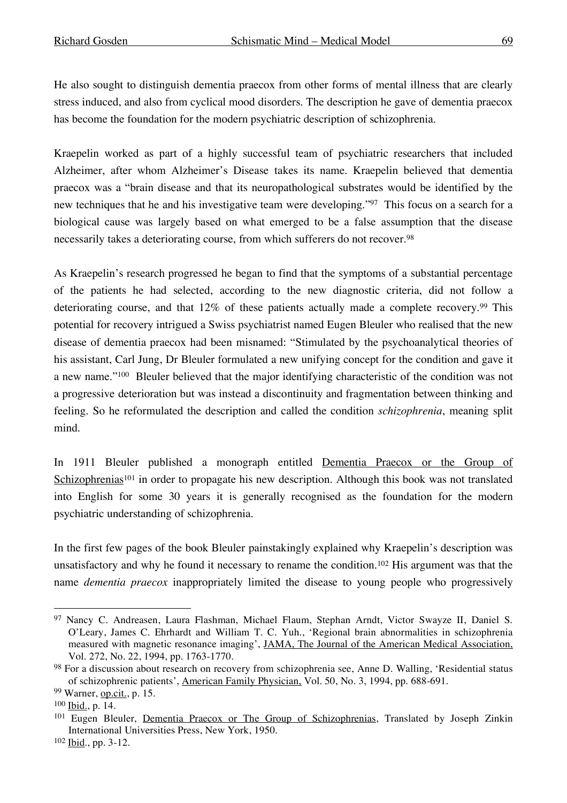He also sought to distinguish dementia praecox from other forms of mental illness that are clearly stress induced, and also from cyclical mood disorders. The description he gave of dementia praecox has become the foundation for the modern psychiatric description of schizophrenia.

Kraepelin worked as part of a highly successful team of psychiatric researchers that included Alzheimer, after whom Alzheimer's Disease takes its name. Kraepelin believed that dementia praecox was a "brain disease and that its neuropathological substrates would be identified by the new techniques that he and his investigative team were developing."<sup>97</sup> This focus on a search for a biological cause was largely based on what emerged to be a false assumption that the disease necessarily takes a deteriorating course, from which sufferers do not recover. 98

As Kraepelin's research progressed he began to find that the symptoms of a substantial percentage of the patients he had selected, according to the new diagnostic criteria, did not follow a deteriorating course, and that 12% of these patients actually made a complete recovery.<sup>99</sup> This potential for recovery intrigued a Swiss psychiatrist named Eugen Bleuler who realised that the new disease of dementia praecox had been misnamed: "Stimulated by the psychoanalytical theories of his assistant, Carl Jung, Dr Bleuler formulated a new unifying concept for the condition and gave it a new name."100 Bleuler believed that the major identifying characteristic of the condition was not a progressive deterioration but was instead a discontinuity and fragmentation between thinking and feeling. So he reformulated the description and called the condition *schizophrenia*, meaning split mind.

In 1911 Bleuler published a monograph entitled Dementia Praecox or the Group of  $Schizonhrenias<sup>101</sup>$  in order to propagate his new description. Although this book was not translated into English for some 30 years it is generally recognised as the foundation for the modern psychiatric understanding of schizophrenia.

In the first few pages of the book Bleuler painstakingly explained why Kraepelin's description was unsatisfactory and why he found it necessary to rename the condition.<sup>102</sup> His argument was that the name *dementia praecox* inappropriately limited the disease to young people who progressively

 <sup>97</sup> Nancy C. Andreasen, Laura Flashman, Michael Flaum, Stephan Arndt, Victor Swayze II, Daniel S. O'Leary, James C. Ehrhardt and William T. C. Yuh., 'Regional brain abnormalities in schizophrenia measured with magnetic resonance imaging', JAMA, The Journal of the American Medical Association, Vol. 272, No. 22, 1994, pp. 1763-1770.

<sup>98</sup> For a discussion about research on recovery from schizophrenia see, Anne D. Walling, 'Residential status of schizophrenic patients', American Family Physician, Vol. 50, No. 3, 1994, pp. 688-691.

<sup>99</sup> Warner, op.cit., p. 15.

<sup>100</sup> Ibid., p. 14.

<sup>&</sup>lt;sup>101</sup> Eugen Bleuler, Dementia Praecox or The Group of Schizophrenias, Translated by Joseph Zinkin International Universities Press, New York, 1950.

<sup>102</sup> Ibid., pp. 3-12.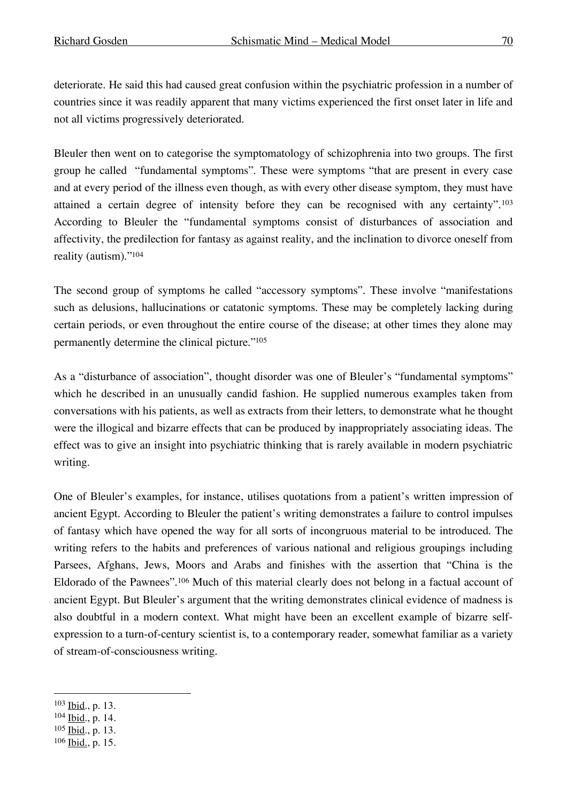deteriorate. He said this had caused great confusion within the psychiatric profession in a number of countries since it was readily apparent that many victims experienced the first onset later in life and not all victims progressively deteriorated.

Bleuler then went on to categorise the symptomatology of schizophrenia into two groups. The first group he called "fundamental symptoms". These were symptoms "that are present in every case and at every period of the illness even though, as with every other disease symptom, they must have attained a certain degree of intensity before they can be recognised with any certainty".103 According to Bleuler the "fundamental symptoms consist of disturbances of association and affectivity, the predilection for fantasy as against reality, and the inclination to divorce oneself from reality (autism)."104

The second group of symptoms he called "accessory symptoms". These involve "manifestations such as delusions, hallucinations or catatonic symptoms. These may be completely lacking during certain periods, or even throughout the entire course of the disease; at other times they alone may permanently determine the clinical picture."105

As a "disturbance of association", thought disorder was one of Bleuler's "fundamental symptoms" which he described in an unusually candid fashion. He supplied numerous examples taken from conversations with his patients, as well as extracts from their letters, to demonstrate what he thought were the illogical and bizarre effects that can be produced by inappropriately associating ideas. The effect was to give an insight into psychiatric thinking that is rarely available in modern psychiatric writing.

One of Bleuler's examples, for instance, utilises quotations from a patient's written impression of ancient Egypt. According to Bleuler the patient's writing demonstrates a failure to control impulses of fantasy which have opened the way for all sorts of incongruous material to be introduced. The writing refers to the habits and preferences of various national and religious groupings including Parsees, Afghans, Jews, Moors and Arabs and finishes with the assertion that "China is the Eldorado of the Pawnees".<sup>106</sup> Much of this material clearly does not belong in a factual account of ancient Egypt. But Bleuler's argument that the writing demonstrates clinical evidence of madness is also doubtful in a modern context. What might have been an excellent example of bizarre selfexpression to a turn-of-century scientist is, to a contemporary reader, somewhat familiar as a variety of stream-of-consciousness writing.

<sup>105</sup> Ibid., p. 13.

 <sup>103</sup> Ibid., p. 13.

<sup>104</sup> Ibid., p. 14.

 $106$  Ibid., p. 15.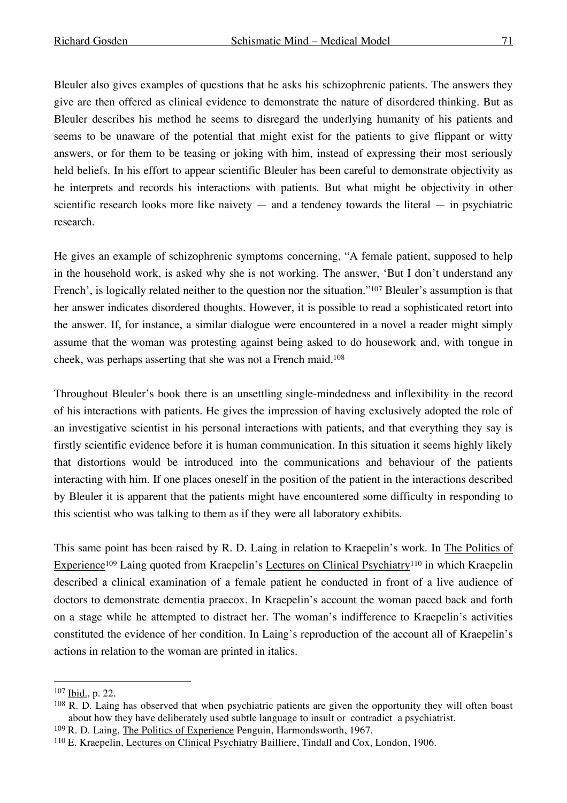Bleuler also gives examples of questions that he asks his schizophrenic patients. The answers they give are then offered as clinical evidence to demonstrate the nature of disordered thinking. But as Bleuler describes his method he seems to disregard the underlying humanity of his patients and seems to be unaware of the potential that might exist for the patients to give flippant or witty answers, or for them to be teasing or joking with him, instead of expressing their most seriously held beliefs. In his effort to appear scientific Bleuler has been careful to demonstrate objectivity as he interprets and records his interactions with patients. But what might be objectivity in other scientific research looks more like naivety  $-$  and a tendency towards the literal  $-$  in psychiatric research.

He gives an example of schizophrenic symptoms concerning, "A female patient, supposed to help in the household work, is asked why she is not working. The answer, 'But I don't understand any French', is logically related neither to the question nor the situation."107 Bleuler's assumption is that her answer indicates disordered thoughts. However, it is possible to read a sophisticated retort into the answer. If, for instance, a similar dialogue were encountered in a novel a reader might simply assume that the woman was protesting against being asked to do housework and, with tongue in cheek, was perhaps asserting that she was not a French maid.108

Throughout Bleuler's book there is an unsettling single-mindedness and inflexibility in the record of his interactions with patients. He gives the impression of having exclusively adopted the role of an investigative scientist in his personal interactions with patients, and that everything they say is firstly scientific evidence before it is human communication. In this situation it seems highly likely that distortions would be introduced into the communications and behaviour of the patients interacting with him. If one places oneself in the position of the patient in the interactions described by Bleuler it is apparent that the patients might have encountered some difficulty in responding to this scientist who was talking to them as if they were all laboratory exhibits.

This same point has been raised by R. D. Laing in relation to Kraepelin's work. In The Politics of Experience<sup>109</sup> Laing quoted from Kraepelin's Lectures on Clinical Psychiatry<sup>110</sup> in which Kraepelin described a clinical examination of a female patient he conducted in front of a live audience of doctors to demonstrate dementia praecox. In Kraepelin's account the woman paced back and forth on a stage while he attempted to distract her. The woman's indifference to Kraepelin's activities constituted the evidence of her condition. In Laing's reproduction of the account all of Kraepelin's actions in relation to the woman are printed in italics.

 <sup>107</sup> Ibid., p. 22.

 $108$  R. D. Laing has observed that when psychiatric patients are given the opportunity they will often boast about how they have deliberately used subtle language to insult or contradict a psychiatrist.

<sup>&</sup>lt;sup>109</sup> R. D. Laing, *The Politics of Experience Penguin*, Harmondsworth, 1967.

<sup>110</sup> E. Kraepelin, Lectures on Clinical Psychiatry Bailliere, Tindall and Cox, London, 1906.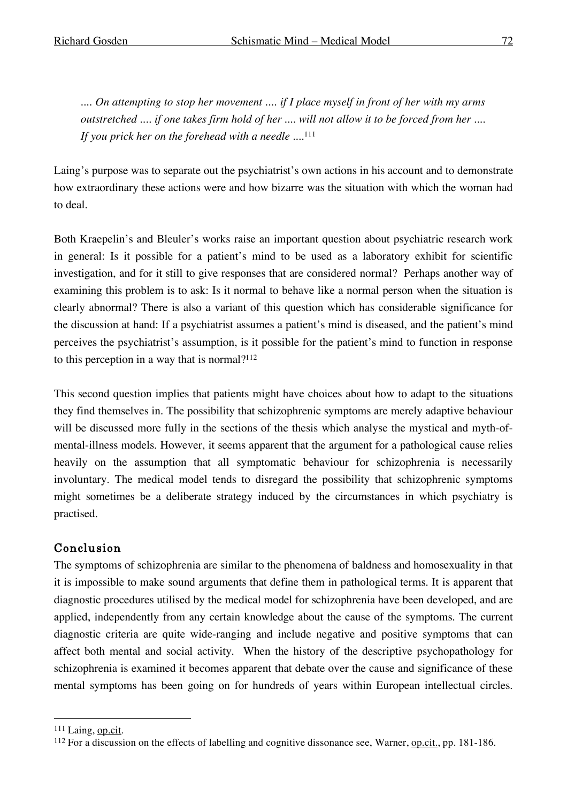*.... On attempting to stop her movement .... if I place myself in front of her with my arms outstretched .... if one takes firm hold of her .... will not allow it to be forced from her .... If you prick her on the forehead with a needle ....* 111

Laing's purpose was to separate out the psychiatrist's own actions in his account and to demonstrate how extraordinary these actions were and how bizarre was the situation with which the woman had to deal.

Both Kraepelin's and Bleuler's works raise an important question about psychiatric research work in general: Is it possible for a patient's mind to be used as a laboratory exhibit for scientific investigation, and for it still to give responses that are considered normal? Perhaps another way of examining this problem is to ask: Is it normal to behave like a normal person when the situation is clearly abnormal? There is also a variant of this question which has considerable significance for the discussion at hand: If a psychiatrist assumes a patient's mind is diseased, and the patient's mind perceives the psychiatrist's assumption, is it possible for the patient's mind to function in response to this perception in a way that is normal?112

This second question implies that patients might have choices about how to adapt to the situations they find themselves in. The possibility that schizophrenic symptoms are merely adaptive behaviour will be discussed more fully in the sections of the thesis which analyse the mystical and myth-ofmental-illness models. However, it seems apparent that the argument for a pathological cause relies heavily on the assumption that all symptomatic behaviour for schizophrenia is necessarily involuntary. The medical model tends to disregard the possibility that schizophrenic symptoms might sometimes be a deliberate strategy induced by the circumstances in which psychiatry is practised.

#### Conclusion

The symptoms of schizophrenia are similar to the phenomena of baldness and homosexuality in that it is impossible to make sound arguments that define them in pathological terms. It is apparent that diagnostic procedures utilised by the medical model for schizophrenia have been developed, and are applied, independently from any certain knowledge about the cause of the symptoms. The current diagnostic criteria are quite wide-ranging and include negative and positive symptoms that can affect both mental and social activity. When the history of the descriptive psychopathology for schizophrenia is examined it becomes apparent that debate over the cause and significance of these mental symptoms has been going on for hundreds of years within European intellectual circles.

<sup>&</sup>lt;sup>111</sup> Laing, op.cit.

<sup>&</sup>lt;sup>112</sup> For a discussion on the effects of labelling and cognitive dissonance see, Warner, op.cit., pp. 181-186.